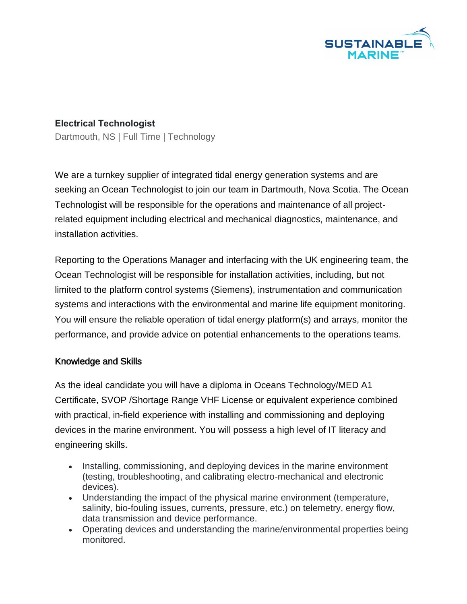

## **Electrical Technologist**

Dartmouth, NS | Full Time | Technology

We are a turnkey supplier of integrated tidal energy generation systems and are seeking an Ocean Technologist to join our team in Dartmouth, Nova Scotia. The Ocean Technologist will be responsible for the operations and maintenance of all projectrelated equipment including electrical and mechanical diagnostics, maintenance, and installation activities.

Reporting to the Operations Manager and interfacing with the UK engineering team, the Ocean Technologist will be responsible for installation activities, including, but not limited to the platform control systems (Siemens), instrumentation and communication systems and interactions with the environmental and marine life equipment monitoring. You will ensure the reliable operation of tidal energy platform(s) and arrays, monitor the performance, and provide advice on potential enhancements to the operations teams.

## Knowledge and Skills

As the ideal candidate you will have a diploma in Oceans Technology/MED A1 Certificate, SVOP /Shortage Range VHF License or equivalent experience combined with practical, in-field experience with installing and commissioning and deploying devices in the marine environment. You will possess a high level of IT literacy and engineering skills.

- Installing, commissioning, and deploying devices in the marine environment (testing, troubleshooting, and calibrating electro-mechanical and electronic devices).
- Understanding the impact of the physical marine environment (temperature, salinity, bio-fouling issues, currents, pressure, etc.) on telemetry, energy flow, data transmission and device performance.
- Operating devices and understanding the marine/environmental properties being monitored.